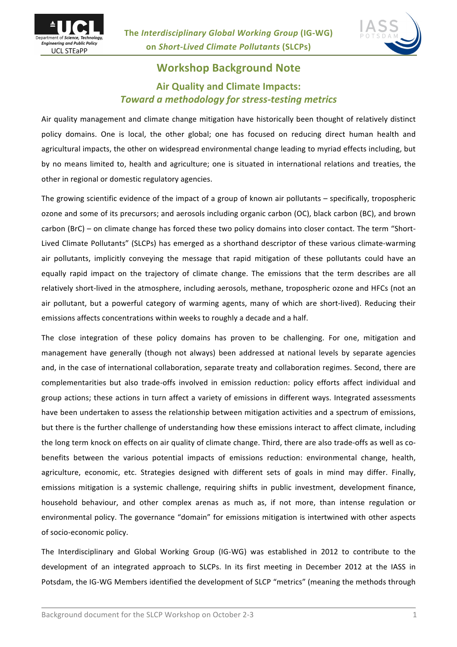



## **Workshop Background Note Air Quality and Climate Impacts:** *Toward a methodology for stress-testing metrics*

Air quality management and climate change mitigation have historically been thought of relatively distinct policy domains. One is local, the other global; one has focused on reducing direct human health and agricultural impacts, the other on widespread environmental change leading to myriad effects including, but by no means limited to, health and agriculture; one is situated in international relations and treaties, the other in regional or domestic regulatory agencies.

The growing scientific evidence of the impact of a group of known air pollutants – specifically, tropospheric ozone and some of its precursors; and aerosols including organic carbon (OC), black carbon (BC), and brown carbon (BrC) – on climate change has forced these two policy domains into closer contact. The term "Short-Lived Climate Pollutants" (SLCPs) has emerged as a shorthand descriptor of these various climate-warming air pollutants, implicitly conveying the message that rapid mitigation of these pollutants could have an equally rapid impact on the trajectory of climate change. The emissions that the term describes are all relatively short-lived in the atmosphere, including aerosols, methane, tropospheric ozone and HFCs (not an air pollutant, but a powerful category of warming agents, many of which are short-lived). Reducing their emissions affects concentrations within weeks to roughly a decade and a half.

The close integration of these policy domains has proven to be challenging. For one, mitigation and management have generally (though not always) been addressed at national levels by separate agencies and, in the case of international collaboration, separate treaty and collaboration regimes. Second, there are complementarities but also trade-offs involved in emission reduction: policy efforts affect individual and group actions; these actions in turn affect a variety of emissions in different ways. Integrated assessments have been undertaken to assess the relationship between mitigation activities and a spectrum of emissions, but there is the further challenge of understanding how these emissions interact to affect climate, including the long term knock on effects on air quality of climate change. Third, there are also trade-offs as well as cobenefits between the various potential impacts of emissions reduction: environmental change, health, agriculture, economic, etc. Strategies designed with different sets of goals in mind may differ. Finally, emissions mitigation is a systemic challenge, requiring shifts in public investment, development finance, household behaviour, and other complex arenas as much as, if not more, than intense regulation or environmental policy. The governance "domain" for emissions mitigation is intertwined with other aspects of socio-economic policy.

The Interdisciplinary and Global Working Group (IG-WG) was established in 2012 to contribute to the development of an integrated approach to SLCPs. In its first meeting in December 2012 at the IASS in Potsdam, the IG-WG Members identified the development of SLCP "metrics" (meaning the methods through